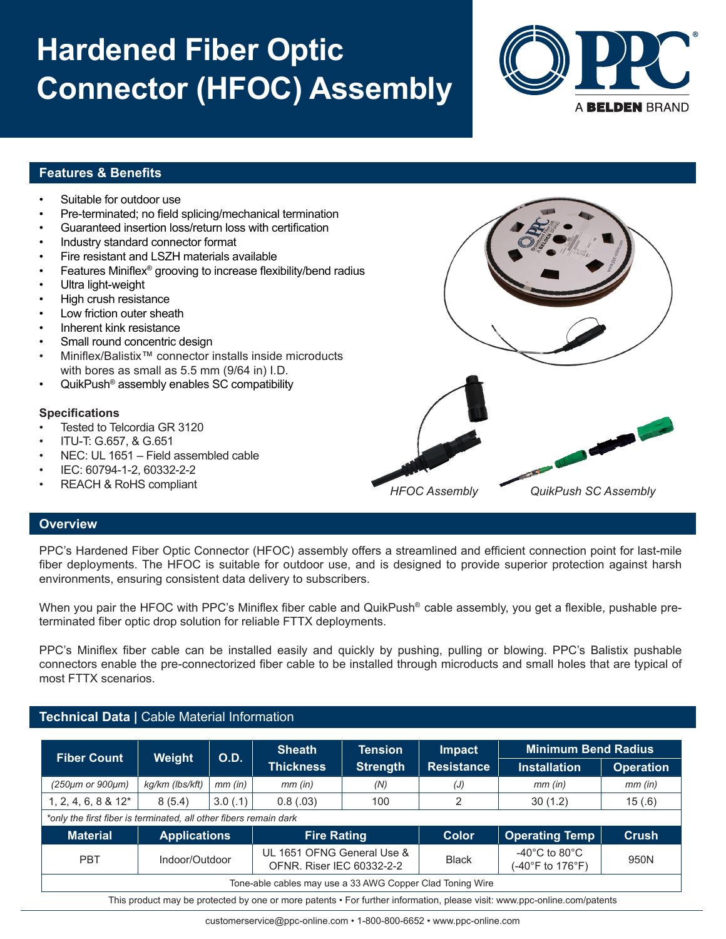# **Hardened Fiber Optic Connector (HFOC) Assembly**



### **Features & Benefits**

- Suitable for outdoor use • Pre-terminated; no field splicing/mechanical termination • Guaranteed insertion loss/return loss with certification • Industry standard connector format • Fire resistant and LSZH materials available • Features Miniflex® grooving to increase flexibility/bend radius Ultra light-weight • High crush resistance Low friction outer sheath • Inherent kink resistance Small round concentric design • Miniflex/Balistix™ connector installs inside microducts with bores as small as 5.5 mm (9/64 in) I.D. • QuikPush® assembly enables SC compatibility **Specifications** Tested to Telcordia GR 3120 • ITU-T: G.657, & G.651
- NEC: UL 1651 Field assembled cable
- IEC: 60794-1-2, 60332-2-2
- REACH & RoHS compliant



#### **Overview**

PPC's Hardened Fiber Optic Connector (HFOC) assembly offers a streamlined and efficient connection point for last-mile fiber deployments. The HFOC is suitable for outdoor use, and is designed to provide superior protection against harsh environments, ensuring consistent data delivery to subscribers.

When you pair the HFOC with PPC's Miniflex fiber cable and QuikPush<sup>®</sup> cable assembly, you get a flexible, pushable preterminated fiber optic drop solution for reliable FTTX deployments.

PPC's Miniflex fiber cable can be installed easily and quickly by pushing, pulling or blowing. PPC's Balistix pushable connectors enable the pre-connectorized fiber cable to be installed through microducts and small holes that are typical of most FTTX scenarios.

### **Technical Data |** Cable Material Information

| <b>Fiber Count</b>                                                                                                       | Weight              | <b>O.D.</b>    | <b>Sheath</b>      | <b>Tension</b>                                                 | <b>Impact</b><br><b>Resistance</b> | <b>Minimum Bend Radius</b>                              |                  |  |  |
|--------------------------------------------------------------------------------------------------------------------------|---------------------|----------------|--------------------|----------------------------------------------------------------|------------------------------------|---------------------------------------------------------|------------------|--|--|
|                                                                                                                          |                     |                | <b>Thickness</b>   | <b>Strength</b>                                                |                                    | <b>Installation</b>                                     | <b>Operation</b> |  |  |
| (250µm or 900µm)                                                                                                         | kg/km (lbs/kft)     | $mm$ (in)      | $mm$ (in)          | (N)                                                            | (J)                                | $mm$ (in)                                               | $mm$ (in)        |  |  |
| $1, 2, 4, 6, 8 & 12*$                                                                                                    | 8(5.4)              | 3.0(.1)        | 0.8(.03)           | 100                                                            | 2                                  | 30(1.2)                                                 | 15(.6)           |  |  |
| *only the first fiber is terminated, all other fibers remain dark                                                        |                     |                |                    |                                                                |                                    |                                                         |                  |  |  |
| <b>Material</b>                                                                                                          | <b>Applications</b> |                | <b>Fire Rating</b> |                                                                | <b>Color</b>                       | <b>Operating Temp</b>                                   | <b>Crush</b>     |  |  |
| <b>PBT</b>                                                                                                               |                     | Indoor/Outdoor |                    | UL 1651 OFNG General Use &<br><b>OFNR. Riser IEC 60332-2-2</b> |                                    | -40 $^{\circ}$ C to 80 $^{\circ}$ C<br>(-40°F to 176°F) | 950N             |  |  |
| Tone-able cables may use a 33 AWG Copper Clad Toning Wire                                                                |                     |                |                    |                                                                |                                    |                                                         |                  |  |  |
| This product may be protected by one or more patents • For further information, please visit: www.ppc-online.com/patents |                     |                |                    |                                                                |                                    |                                                         |                  |  |  |